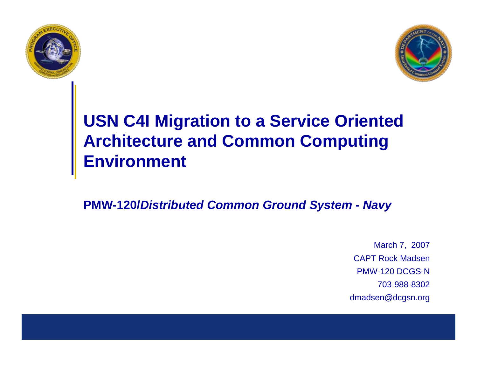



## **USN C4I Migration to a Service Oriented Architecture and Common Computing Environment**

**PMW-120/***Distributed Common Ground System - Navy*

March 7, 2007 CAPT Rock MadsenPMW-120 DCGS-N703-988-8302dmadsen@dcgsn.org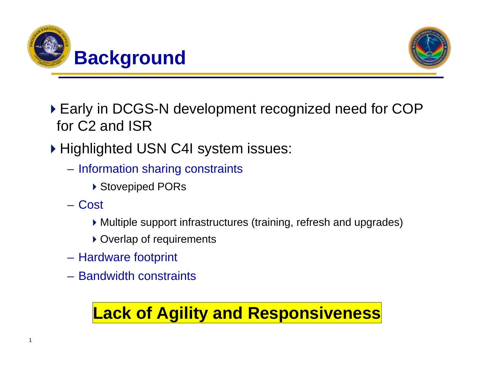



- Early in DCGS-N development recognized need for COP for C2 and ISR
- ▶ Highlighted USN C4I system issues:
	- $\mathcal{L}_{\mathcal{A}}$ – Information sharing constraints
		- ▶ Stovepiped PORs
	- Cost

1

- Multiple support infrastructures (training, refresh and upgrades)
- ▶ Overlap of requirements
- –– Hardware footprint
- Bandwidth constraints

## **Lack of Agility and Responsiveness**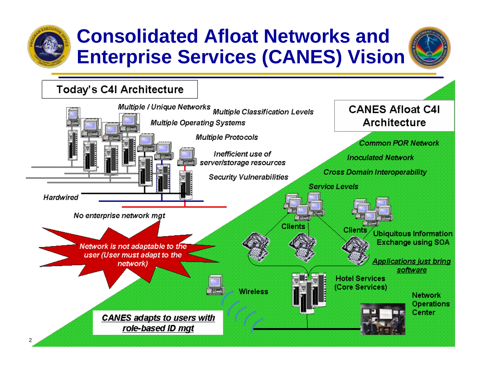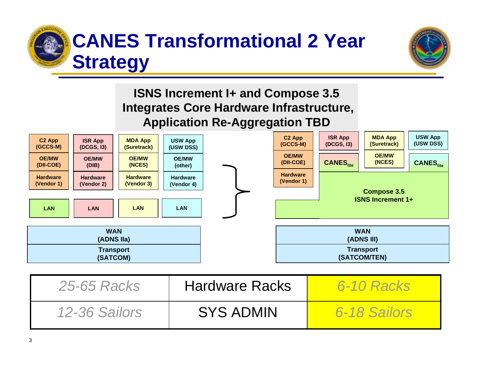



#### **ISNS Increment I+ and Compose 3.5 Integrates Core Hardware Infrastructure, Application Re-Aggregation TBD**



| <b>25-65 Racks</b> | <b>Hardware Racks</b> | <b>6-10 Racks</b> |
|--------------------|-----------------------|-------------------|
| 12-36 Sailors      | <b>SYS ADMIN</b>      | 6-18 Sailors      |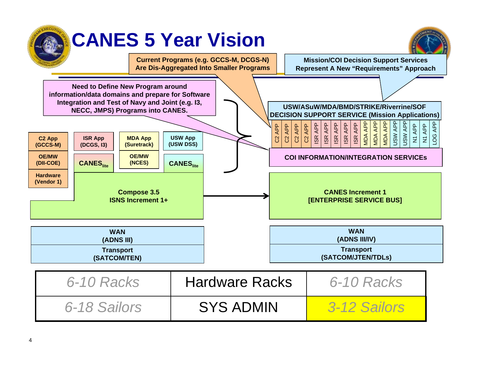# **CANES 5 Year Vision**



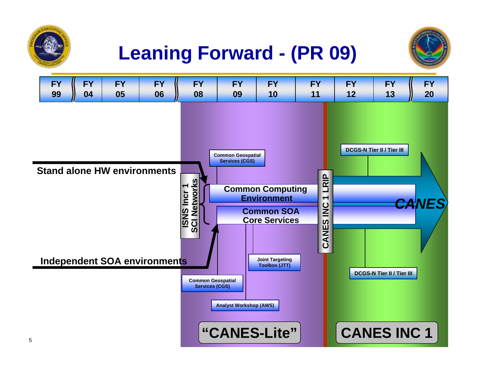





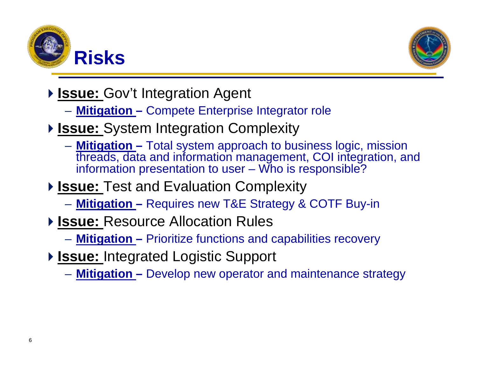



- **Issue: Gov't Integration Agent** 
	- **Mitigation –** Compete Enterprise Integrator role
- **Issue:** System Integration Complexity
	- **Mitigation –** Total system approach to business logic, mission threads, data and information management, COI integration, and information presentation to user – Who is responsible?
- **Issue:** Test and Evaluation Complexity
	- **Mitigation –** Requires new T&E Strategy & COTF Buy-in
- **▶ Issue: Resource Allocation Rules** 
	- **Mitigation –** Prioritize functions and capabilities recovery
- **▶ Issue: Integrated Logistic Support** 
	- **Mitigation –** Develop new operator and maintenance strategy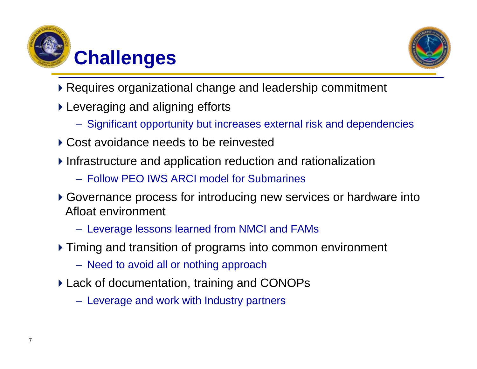



- Requires organizational change and leadership commitment
- Leveraging and aligning efforts
	- Significant opportunity but increases external risk and dependencies
- ▶ Cost avoidance needs to be reinvested
- Infrastructure and application reduction and rationalization
	- Follow PEO IWS ARCI model for Submarines
- Governance process for introducing new services or hardware into Afloat environment
	- Leverage lessons learned from NMCI and FAMs
- Timing and transition of programs into common environment
	- Need to avoid all or nothing approach
- Lack of documentation, training and CONOPs
	- Leverage and work with Industry partners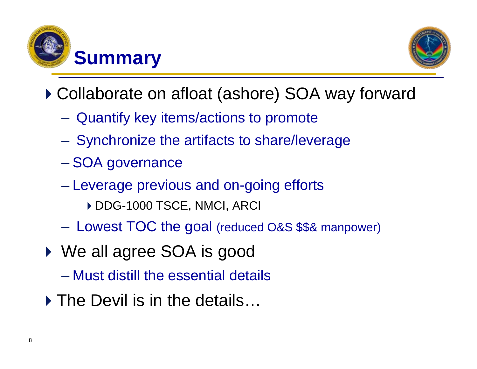



- ▶ Collaborate on afloat (ashore) SOA way forward
	- –Quantify key items/actions to promote
	- –- Synchronize the artifacts to share/leverage
	- $\mathcal{L}_{\mathcal{A}}$ – SOA governance
	- $\mathcal{L}_{\mathcal{A}}$  , and the set of the set of the set of the set of the set of the set of the set of the set of the set of the set of the set of the set of the set of the set of the set of the set of the set of the set of th Leverage previous and on-going efforts
		- DDG-1000 TSCE, NMCI, ARCI
	- $\mathcal{L}_{\mathcal{A}}$  , and the set of the set of the set of the set of the set of the set of the set of the set of the set of the set of the set of the set of the set of the set of the set of the set of the set of the set of th  $-$  Lowest TOC the goal (reduced O&S \$\$& manpower)
- ◆ We all agree SOA is good
	- Must distill the essential details
	- ▶ The Devil is in the details...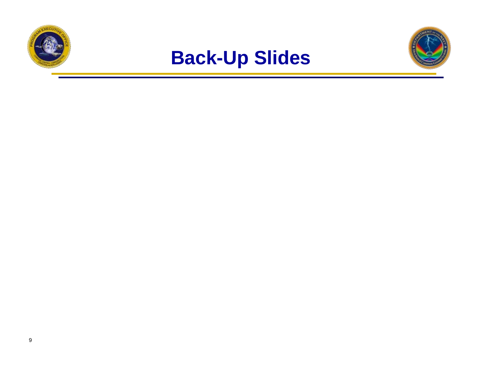



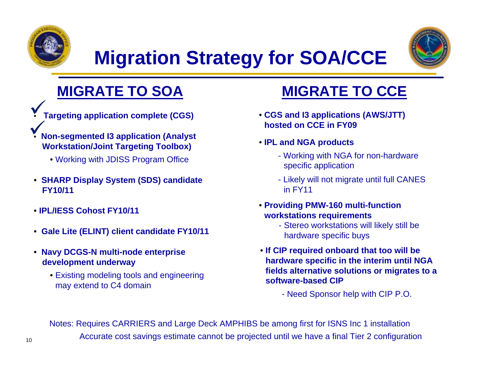

•

# **Migration Strategy for SOA/CCE**



### **MIGRATE TO SOA**

- **Targeting application complete (CGS)**  $\checkmark$
- • **Non-segmented I3 application (Analyst Workstation/Joint Targeting Toolbox)**  $\checkmark$ 
	- Working with JDISS Program Office
- **SHARP Display System (SDS) candidate FY10/11**
- **IPL/IESS Cohost FY10/11**
- **Gale Lite (ELINT) client candidate FY10/11**
- **Navy DCGS-N multi-node enterprise development underway**
	- Existing modeling tools and engineering may extend to C4 domain

### **MIGRATE TO CCE**

- **CGS and I3 applications (AWS/JTT) hosted on CCE in FY09**
- **IPL and NGA products**
	- Working with NGA for non-hardware specific application
	- Likely will not migrate until full CANES in FY11
- **Providing PMW-160 multi-function workstations requirements**
	- Stereo workstations will likely still be hardware specific buys
- **If CIP required onboard that too will be hardware specific in the interim until NGA fields alternative solutions or migrates to a software-based CIP**

- Need Sponsor help with CIP P.O.

Notes: Requires CARRIERS and Large Deck AMPHIBS be among first for ISNS Inc 1 installation Accurate cost savings estimate cannot be projected until we have a final Tier 2 configuration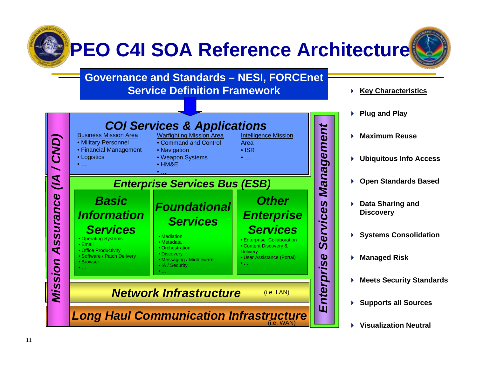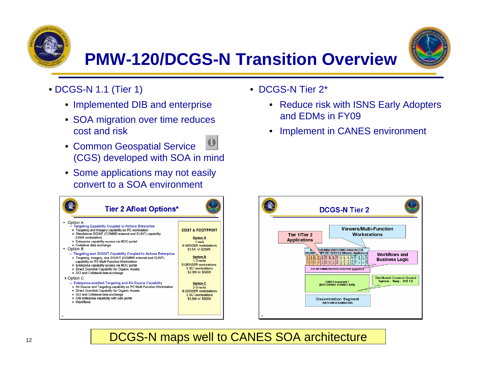



- DCGS-N 1.1 (Tier 1)
	- Implemented DIB and enterprise
	- SOA migration over time reduces cost and risk
	- Common Geospatial Service (CGS) developed with SOA in mind
	- Some applications may not easily convert to a SOA environment



- DCGS-N Tier 2\*
	- • [Reduce risk with ISNS Early Adopters](#page-13-0)  and EDMs in FY09
	- •Implement in CANES environment



#### DCGS-N maps well to CANES SOA architecture